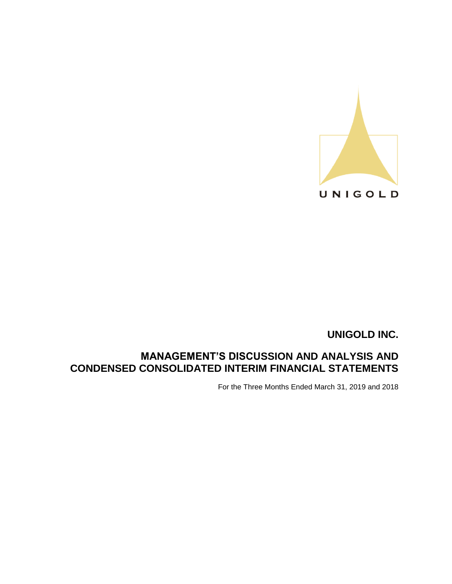

# **MANAGEMENT'S DISCUSSION AND ANALYSIS AND CONDENSED CONSOLIDATED INTERIM FINANCIAL STATEMENTS**

For the Three Months Ended March 31, 2019 and 2018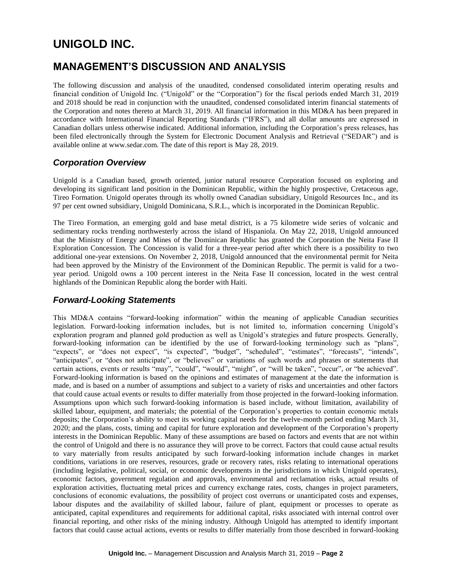# **MANAGEMENT'S DISCUSSION AND ANALYSIS**

The following discussion and analysis of the unaudited, condensed consolidated interim operating results and financial condition of Unigold Inc. ("Unigold" or the "Corporation") for the fiscal periods ended March 31, 2019 and 2018 should be read in conjunction with the unaudited, condensed consolidated interim financial statements of the Corporation and notes thereto at March 31, 2019. All financial information in this MD&A has been prepared in accordance with International Financial Reporting Standards ("IFRS"), and all dollar amounts are expressed in Canadian dollars unless otherwise indicated. Additional information, including the Corporation's press releases, has been filed electronically through the System for Electronic Document Analysis and Retrieval ("SEDAR") and is available online at www.sedar.com. The date of this report is May 28, 2019.

# *Corporation Overview*

Unigold is a Canadian based, growth oriented, junior natural resource Corporation focused on exploring and developing its significant land position in the Dominican Republic, within the highly prospective, Cretaceous age, Tireo Formation. Unigold operates through its wholly owned Canadian subsidiary, Unigold Resources Inc., and its 97 per cent owned subsidiary, Unigold Dominicana, S.R.L., which is incorporated in the Dominican Republic.

The Tireo Formation, an emerging gold and base metal district, is a 75 kilometre wide series of volcanic and sedimentary rocks trending northwesterly across the island of Hispaniola. On May 22, 2018, Unigold announced that the Ministry of Energy and Mines of the Dominican Republic has granted the Corporation the Neita Fase II Exploration Concession. The Concession is valid for a three-year period after which there is a possibility to two additional one-year extensions. On November 2, 2018, Unigold announced that the environmental permit for Neita had been approved by the Ministry of the Environment of the Dominican Republic. The permit is valid for a twoyear period. Unigold owns a 100 percent interest in the Neita Fase II concession, located in the west central highlands of the Dominican Republic along the border with Haiti.

# *Forward-Looking Statements*

This MD&A contains "forward-looking information" within the meaning of applicable Canadian securities legislation. Forward-looking information includes, but is not limited to, information concerning Unigold's exploration program and planned gold production as well as Unigold's strategies and future prospects. Generally, forward-looking information can be identified by the use of forward-looking terminology such as "plans", "expects", or "does not expect", "is expected", "budget", "scheduled", "estimates", "forecasts", "intends", "anticipates", or "does not anticipate", or "believes" or variations of such words and phrases or statements that certain actions, events or results "may", "could", "would", "might", or "will be taken", "occur", or "be achieved". Forward-looking information is based on the opinions and estimates of management at the date the information is made, and is based on a number of assumptions and subject to a variety of risks and uncertainties and other factors that could cause actual events or results to differ materially from those projected in the forward-looking information. Assumptions upon which such forward-looking information is based include, without limitation, availability of skilled labour, equipment, and materials; the potential of the Corporation's properties to contain economic metals deposits; the Corporation's ability to meet its working capital needs for the twelve-month period ending March 31, 2020; and the plans, costs, timing and capital for future exploration and development of the Corporation's property interests in the Dominican Republic. Many of these assumptions are based on factors and events that are not within the control of Unigold and there is no assurance they will prove to be correct. Factors that could cause actual results to vary materially from results anticipated by such forward-looking information include changes in market conditions, variations in ore reserves, resources, grade or recovery rates, risks relating to international operations (including legislative, political, social, or economic developments in the jurisdictions in which Unigold operates), economic factors, government regulation and approvals, environmental and reclamation risks, actual results of exploration activities, fluctuating metal prices and currency exchange rates, costs, changes in project parameters, conclusions of economic evaluations, the possibility of project cost overruns or unanticipated costs and expenses, labour disputes and the availability of skilled labour, failure of plant, equipment or processes to operate as anticipated, capital expenditures and requirements for additional capital, risks associated with internal control over financial reporting, and other risks of the mining industry. Although Unigold has attempted to identify important factors that could cause actual actions, events or results to differ materially from those described in forward-looking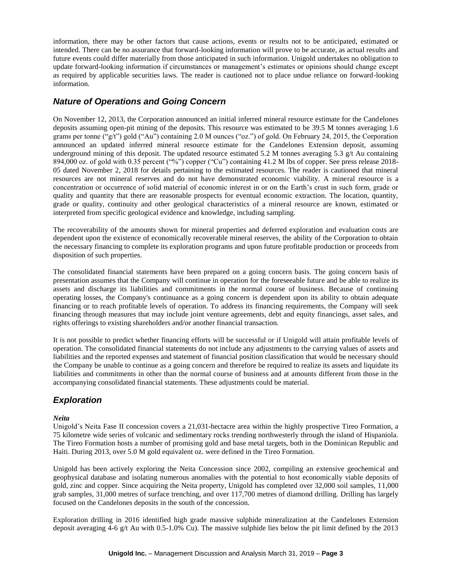information, there may be other factors that cause actions, events or results not to be anticipated, estimated or intended. There can be no assurance that forward-looking information will prove to be accurate, as actual results and future events could differ materially from those anticipated in such information. Unigold undertakes no obligation to update forward-looking information if circumstances or management's estimates or opinions should change except as required by applicable securities laws. The reader is cautioned not to place undue reliance on forward-looking information.

# *Nature of Operations and Going Concern*

On November 12, 2013, the Corporation announced an initial inferred mineral resource estimate for the Candelones deposits assuming open-pit mining of the deposits. This resource was estimated to be 39.5 M tonnes averaging 1.6 grams per tonne ("g/t") gold ("Au") containing 2.0 M ounces ("oz.") of gold. On February 24, 2015, the Corporation announced an updated inferred mineral resource estimate for the Candelones Extension deposit, assuming underground mining of this deposit. The updated resource estimated 5.2 M tonnes averaging 5.3  $g/t$  Au containing 894,000 oz. of gold with 0.35 percent ("%") copper ("Cu") containing 41.2 M lbs of copper. See press release 2018-05 dated November 2, 2018 for details pertaining to the estimated resources. The reader is cautioned that mineral resources are not mineral reserves and do not have demonstrated economic viability. A mineral resource is a concentration or occurrence of solid material of economic interest in or on the Earth's crust in such form, grade or quality and quantity that there are reasonable prospects for eventual economic extraction. The location, quantity, grade or quality, continuity and other geological characteristics of a mineral resource are known, estimated or interpreted from specific geological evidence and knowledge, including sampling.

The recoverability of the amounts shown for mineral properties and deferred exploration and evaluation costs are dependent upon the existence of economically recoverable mineral reserves, the ability of the Corporation to obtain the necessary financing to complete its exploration programs and upon future profitable production or proceeds from disposition of such properties.

The consolidated financial statements have been prepared on a going concern basis. The going concern basis of presentation assumes that the Company will continue in operation for the foreseeable future and be able to realize its assets and discharge its liabilities and commitments in the normal course of business. Because of continuing operating losses, the Company's continuance as a going concern is dependent upon its ability to obtain adequate financing or to reach profitable levels of operation. To address its financing requirements, the Company will seek financing through measures that may include joint venture agreements, debt and equity financings, asset sales, and rights offerings to existing shareholders and/or another financial transaction.

It is not possible to predict whether financing efforts will be successful or if Unigold will attain profitable levels of operation. The consolidated financial statements do not include any adjustments to the carrying values of assets and liabilities and the reported expenses and statement of financial position classification that would be necessary should the Company be unable to continue as a going concern and therefore be required to realize its assets and liquidate its liabilities and commitments in other than the normal course of business and at amounts different from those in the accompanying consolidated financial statements. These adjustments could be material.

# *Exploration*

#### *Neita*

Unigold's Neita Fase II concession covers a 21,031-hectacre area within the highly prospective Tireo Formation, a 75 kilometre wide series of volcanic and sedimentary rocks trending northwesterly through the island of Hispaniola. The Tireo Formation hosts a number of promising gold and base metal targets, both in the Dominican Republic and Haiti. During 2013, over 5.0 M gold equivalent oz. were defined in the Tireo Formation.

Unigold has been actively exploring the Neita Concession since 2002, compiling an extensive geochemical and geophysical database and isolating numerous anomalies with the potential to host economically viable deposits of gold, zinc and copper. Since acquiring the Neita property, Unigold has completed over 32,000 soil samples, 11,000 grab samples, 31,000 metres of surface trenching, and over 117,700 metres of diamond drilling. Drilling has largely focused on the Candelones deposits in the south of the concession.

Exploration drilling in 2016 identified high grade massive sulphide mineralization at the Candelones Extension deposit averaging 4-6 g/t Au with 0.5-1.0% Cu). The massive sulphide lies below the pit limit defined by the 2013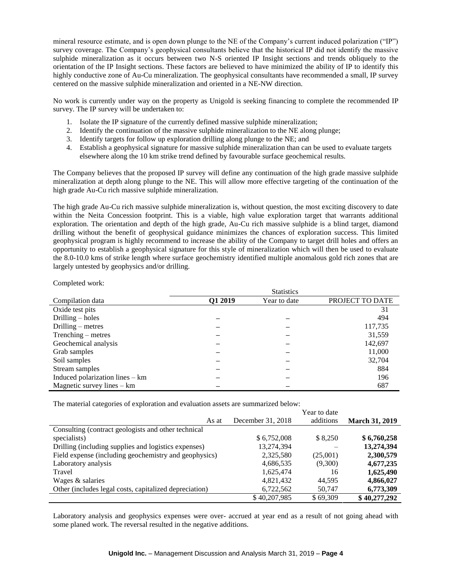mineral resource estimate, and is open down plunge to the NE of the Company's current induced polarization ("IP") survey coverage. The Company's geophysical consultants believe that the historical IP did not identify the massive sulphide mineralization as it occurs between two N-S oriented IP Insight sections and trends obliquely to the orientation of the IP Insight sections. These factors are believed to have minimized the ability of IP to identify this highly conductive zone of Au-Cu mineralization. The geophysical consultants have recommended a small, IP survey centered on the massive sulphide mineralization and oriented in a NE-NW direction.

No work is currently under way on the property as Unigold is seeking financing to complete the recommended IP survey. The IP survey will be undertaken to:

- 1. Isolate the IP signature of the currently defined massive sulphide mineralization;
- 2. Identify the continuation of the massive sulphide mineralization to the NE along plunge;
- 3. Identify targets for follow up exploration drilling along plunge to the NE; and
- 4. Establish a geophysical signature for massive sulphide mineralization than can be used to evaluate targets elsewhere along the 10 km strike trend defined by favourable surface geochemical results.

The Company believes that the proposed IP survey will define any continuation of the high grade massive sulphide mineralization at depth along plunge to the NE. This will allow more effective targeting of the continuation of the high grade Au-Cu rich massive sulphide mineralization.

The high grade Au-Cu rich massive sulphide mineralization is, without question, the most exciting discovery to date within the Neita Concession footprint. This is a viable, high value exploration target that warrants additional exploration. The orientation and depth of the high grade, Au-Cu rich massive sulphide is a blind target, diamond drilling without the benefit of geophysical guidance minimizes the chances of exploration success. This limited geophysical program is highly recommend to increase the ability of the Company to target drill holes and offers an opportunity to establish a geophysical signature for this style of mineralization which will then be used to evaluate the 8.0-10.0 kms of strike length where surface geochemistry identified multiple anomalous gold rich zones that are largely untested by geophysics and/or drilling.

 $\sigma$ .  $\sigma$ .

Completed work:

|                                   |         | Statistics   |                 |
|-----------------------------------|---------|--------------|-----------------|
| Compilation data                  | Q1 2019 | Year to date | PROJECT TO DATE |
| Oxide test pits                   |         |              | 31              |
| Drilling $-$ holes                |         |              | 494             |
| Drilling $-$ metres               |         |              | 117,735         |
| $Trenching - metres$              |         |              | 31,559          |
| Geochemical analysis              |         |              | 142,697         |
| Grab samples                      |         |              | 11,000          |
| Soil samples                      |         |              | 32,704          |
| Stream samples                    |         |              | 884             |
| Induced polarization lines $-$ km |         |              | 196             |
| Magnetic survey lines $-$ km      |         |              | 687             |

The material categories of exploration and evaluation assets are summarized below:

|                                                        |                   | Year to date |                       |
|--------------------------------------------------------|-------------------|--------------|-----------------------|
| As at                                                  | December 31, 2018 | additions    | <b>March 31, 2019</b> |
| Consulting (contract geologists and other technical    |                   |              |                       |
| specialists)                                           | \$6,752,008       | \$8,250      | \$6,760,258           |
| Drilling (including supplies and logistics expenses)   | 13,274,394        |              | 13,274,394            |
| Field expense (including geochemistry and geophysics)  | 2,325,580         | (25,001)     | 2,300,579             |
| Laboratory analysis                                    | 4,686,535         | (9,300)      | 4,677,235             |
| Travel                                                 | 1,625,474         | 16           | 1,625,490             |
| Wages & salaries                                       | 4,821,432         | 44.595       | 4,866,027             |
| Other (includes legal costs, capitalized depreciation) | 6,722,562         | 50.747       | 6,773,309             |
|                                                        | \$40,207,985      | \$69,309     | \$40,277,292          |

Laboratory analysis and geophysics expenses were over- accrued at year end as a result of not going ahead with some planed work. The reversal resulted in the negative additions.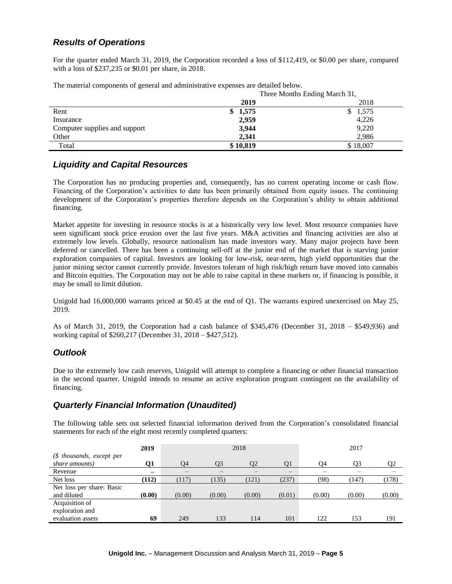# *Results of Operations*

For the quarter ended March 31, 2019, the Corporation recorded a loss of \$112,419, or \$0.00 per share, compared with a loss of \$237,235 or \$0.01 per share, in 2018.

The material components of general and administrative expenses are detailed below.

| <u>The material components of general and achimitiative enperiors are detailed octo</u> | Three Months Ending March 31, |          |  |  |
|-----------------------------------------------------------------------------------------|-------------------------------|----------|--|--|
|                                                                                         | 2019                          | 2018     |  |  |
| Rent                                                                                    | 1,575<br>\$                   | \$1,575  |  |  |
| Insurance                                                                               | 2,959                         | 4,226    |  |  |
| Computer supplies and support                                                           | 3,944                         | 9,220    |  |  |
| Other                                                                                   | 2.341                         | 2.986    |  |  |
| Total                                                                                   | \$10,819                      | \$18,007 |  |  |

### *Liquidity and Capital Resources*

The Corporation has no producing properties and, consequently, has no current operating income or cash flow. Financing of the Corporation's activities to date has been primarily obtained from equity issues. The continuing development of the Corporation's properties therefore depends on the Corporation's ability to obtain additional financing.

Market appetite for investing in resource stocks is at a historically very low level. Most resource companies have seen significant stock price erosion over the last five years. M&A activities and financing activities are also at extremely low levels. Globally, resource nationalism has made investors wary. Many major projects have been deferred or cancelled. There has been a continuing sell-off at the junior end of the market that is starving junior exploration companies of capital. Investors are looking for low-risk, near-term, high yield opportunities that the junior mining sector cannot currently provide. Investors tolerant of high risk/high return have moved into cannabis and Bitcoin equities. The Corporation may not be able to raise capital in these markets or, if financing is possible, it may be small to limit dilution.

Unigold had 16,000,000 warrants priced at \$0.45 at the end of Q1. The warrants expired unexercised on May 25, 2019.

As of March 31, 2019, the Corporation had a cash balance of \$345,476 (December 31, 2018 – \$549,936) and working capital of \$260,217 (December 31, 2018 – \$427,512).

### *Outlook*

Due to the extremely low cash reserves, Unigold will attempt to complete a financing or other financial transaction in the second quarter. Unigold intends to resume an active exploration program contingent on the availability of financing.

### *Quarterly Financial Information (Unaudited)*

The following table sets out selected financial information derived from the Corporation's consolidated financial statements for each of the eight most recently completed quarters:

|                           | 2019   | 2018   |        |        | 2017              |        |        |                |
|---------------------------|--------|--------|--------|--------|-------------------|--------|--------|----------------|
| (\$ thousands, except per |        |        |        |        |                   |        |        |                |
| share amounts)            | 01     | Q4     | Q3     | Ο2     | Q <sub>1</sub>    | Q4     | Q3     | Q <sub>2</sub> |
| Revenue                   |        | —      | —      |        | $\qquad \qquad -$ | –      |        |                |
| Net loss                  | (112)  | (117)  | (135)  | (121)  | (237)             | (98)   | (147)  | (178)          |
| Net loss per share: Basic |        |        |        |        |                   |        |        |                |
| and diluted               | (0.00) | (0.00) | (0.00) | (0.00) | (0.01)            | (0.00) | (0.00) | (0.00)         |
| Acquisition of            |        |        |        |        |                   |        |        |                |
| exploration and           |        |        |        |        |                   |        |        |                |
| evaluation assets         | 69     | 249    | 133    | 114    | 101               | 122    | 153    | 191            |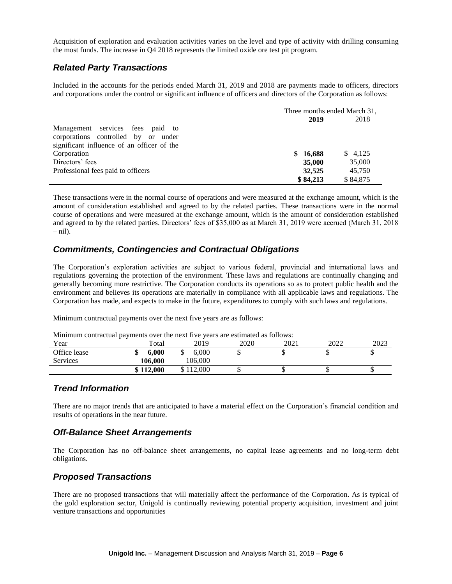Acquisition of exploration and evaluation activities varies on the level and type of activity with drilling consuming the most funds. The increase in Q4 2018 represents the limited oxide ore test pit program.

# *Related Party Transactions*

Included in the accounts for the periods ended March 31, 2019 and 2018 are payments made to officers, directors and corporations under the control or significant influence of officers and directors of the Corporation as follows:

|                                            | Three months ended March 31, |          |  |
|--------------------------------------------|------------------------------|----------|--|
|                                            | 2019                         | 2018     |  |
| Management services fees paid to           |                              |          |  |
| corporations controlled by or under        |                              |          |  |
| significant influence of an officer of the |                              |          |  |
| Corporation                                | \$16,688                     | \$4,125  |  |
| Directors' fees                            | 35,000                       | 35,000   |  |
| Professional fees paid to officers         | 32,525                       | 45,750   |  |
|                                            | \$84,213                     | \$84,875 |  |

These transactions were in the normal course of operations and were measured at the exchange amount, which is the amount of consideration established and agreed to by the related parties. These transactions were in the normal course of operations and were measured at the exchange amount, which is the amount of consideration established and agreed to by the related parties. Directors' fees of \$35,000 as at March 31, 2019 were accrued (March 31, 2018  $-$  nil).

# *Commitments, Contingencies and Contractual Obligations*

The Corporation's exploration activities are subject to various federal, provincial and international laws and regulations governing the protection of the environment. These laws and regulations are continually changing and generally becoming more restrictive. The Corporation conducts its operations so as to protect public health and the environment and believes its operations are materially in compliance with all applicable laws and regulations. The Corporation has made, and expects to make in the future, expenditures to comply with such laws and regulations.

Minimum contractual payments over the next five years are as follows:

Minimum contractual payments over the next five years are estimated as follows:

| Year         | $\cdot$<br>Total | 2019    | 2020 | 2021                     | 2022                     | 2023 |
|--------------|------------------|---------|------|--------------------------|--------------------------|------|
| Office lease | 6.000            | 6.000   | -    | $\overline{\phantom{0}}$ | $\overline{\phantom{0}}$ | -    |
| Services     | 106.000          | 106.000 |      |                          | -                        |      |
|              | \$112,000        | 12,000  | -    | $\overline{\phantom{0}}$ | $\overline{\phantom{0}}$ | -    |

### *Trend Information*

There are no major trends that are anticipated to have a material effect on the Corporation's financial condition and results of operations in the near future.

### *Off-Balance Sheet Arrangements*

The Corporation has no off-balance sheet arrangements, no capital lease agreements and no long-term debt obligations.

### *Proposed Transactions*

There are no proposed transactions that will materially affect the performance of the Corporation. As is typical of the gold exploration sector, Unigold is continually reviewing potential property acquisition, investment and joint venture transactions and opportunities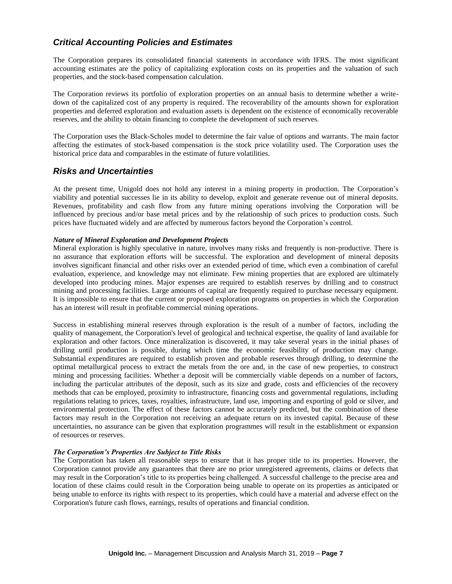# *Critical Accounting Policies and Estimates*

The Corporation prepares its consolidated financial statements in accordance with IFRS. The most significant accounting estimates are the policy of capitalizing exploration costs on its properties and the valuation of such properties, and the stock-based compensation calculation.

The Corporation reviews its portfolio of exploration properties on an annual basis to determine whether a writedown of the capitalized cost of any property is required. The recoverability of the amounts shown for exploration properties and deferred exploration and evaluation assets is dependent on the existence of economically recoverable reserves, and the ability to obtain financing to complete the development of such reserves.

The Corporation uses the Black-Scholes model to determine the fair value of options and warrants. The main factor affecting the estimates of stock-based compensation is the stock price volatility used. The Corporation uses the historical price data and comparables in the estimate of future volatilities.

### *Risks and Uncertainties*

At the present time, Unigold does not hold any interest in a mining property in production. The Corporation's viability and potential successes lie in its ability to develop, exploit and generate revenue out of mineral deposits. Revenues, profitability and cash flow from any future mining operations involving the Corporation will be influenced by precious and/or base metal prices and by the relationship of such prices to production costs. Such prices have fluctuated widely and are affected by numerous factors beyond the Corporation's control.

#### *Nature of Mineral Exploration and Development Projects*

Mineral exploration is highly speculative in nature, involves many risks and frequently is non-productive. There is no assurance that exploration efforts will be successful. The exploration and development of mineral deposits involves significant financial and other risks over an extended period of time, which even a combination of careful evaluation, experience, and knowledge may not eliminate. Few mining properties that are explored are ultimately developed into producing mines. Major expenses are required to establish reserves by drilling and to construct mining and processing facilities. Large amounts of capital are frequently required to purchase necessary equipment. It is impossible to ensure that the current or proposed exploration programs on properties in which the Corporation has an interest will result in profitable commercial mining operations.

Success in establishing mineral reserves through exploration is the result of a number of factors, including the quality of management, the Corporation's level of geological and technical expertise, the quality of land available for exploration and other factors. Once mineralization is discovered, it may take several years in the initial phases of drilling until production is possible, during which time the economic feasibility of production may change. Substantial expenditures are required to establish proven and probable reserves through drilling, to determine the optimal metallurgical process to extract the metals from the ore and, in the case of new properties, to construct mining and processing facilities. Whether a deposit will be commercially viable depends on a number of factors, including the particular attributes of the deposit, such as its size and grade, costs and efficiencies of the recovery methods that can be employed, proximity to infrastructure, financing costs and governmental regulations, including regulations relating to prices, taxes, royalties, infrastructure, land use, importing and exporting of gold or silver, and environmental protection. The effect of these factors cannot be accurately predicted, but the combination of these factors may result in the Corporation not receiving an adequate return on its invested capital. Because of these uncertainties, no assurance can be given that exploration programmes will result in the establishment or expansion of resources or reserves.

#### *The Corporation's Properties Are Subject to Title Risks*

The Corporation has taken all reasonable steps to ensure that it has proper title to its properties. However, the Corporation cannot provide any guarantees that there are no prior unregistered agreements, claims or defects that may result in the Corporation's title to its properties being challenged. A successful challenge to the precise area and location of these claims could result in the Corporation being unable to operate on its properties as anticipated or being unable to enforce its rights with respect to its properties, which could have a material and adverse effect on the Corporation's future cash flows, earnings, results of operations and financial condition.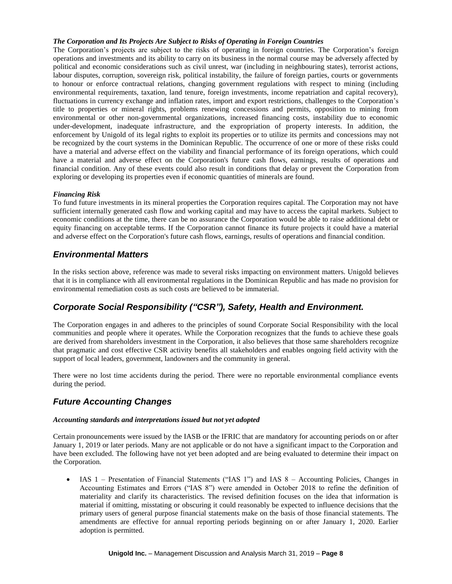#### *The Corporation and Its Projects Are Subject to Risks of Operating in Foreign Countries*

The Corporation's projects are subject to the risks of operating in foreign countries. The Corporation's foreign operations and investments and its ability to carry on its business in the normal course may be adversely affected by political and economic considerations such as civil unrest, war (including in neighbouring states), terrorist actions, labour disputes, corruption, sovereign risk, political instability, the failure of foreign parties, courts or governments to honour or enforce contractual relations, changing government regulations with respect to mining (including environmental requirements, taxation, land tenure, foreign investments, income repatriation and capital recovery), fluctuations in currency exchange and inflation rates, import and export restrictions, challenges to the Corporation's title to properties or mineral rights, problems renewing concessions and permits, opposition to mining from environmental or other non-governmental organizations, increased financing costs, instability due to economic under-development, inadequate infrastructure, and the expropriation of property interests. In addition, the enforcement by Unigold of its legal rights to exploit its properties or to utilize its permits and concessions may not be recognized by the court systems in the Dominican Republic. The occurrence of one or more of these risks could have a material and adverse effect on the viability and financial performance of its foreign operations, which could have a material and adverse effect on the Corporation's future cash flows, earnings, results of operations and financial condition. Any of these events could also result in conditions that delay or prevent the Corporation from exploring or developing its properties even if economic quantities of minerals are found.

#### *Financing Risk*

To fund future investments in its mineral properties the Corporation requires capital. The Corporation may not have sufficient internally generated cash flow and working capital and may have to access the capital markets. Subject to economic conditions at the time, there can be no assurance the Corporation would be able to raise additional debt or equity financing on acceptable terms. If the Corporation cannot finance its future projects it could have a material and adverse effect on the Corporation's future cash flows, earnings, results of operations and financial condition.

### *Environmental Matters*

In the risks section above, reference was made to several risks impacting on environment matters. Unigold believes that it is in compliance with all environmental regulations in the Dominican Republic and has made no provision for environmental remediation costs as such costs are believed to be immaterial.

# *Corporate Social Responsibility ("CSR"), Safety, Health and Environment.*

The Corporation engages in and adheres to the principles of sound Corporate Social Responsibility with the local communities and people where it operates. While the Corporation recognizes that the funds to achieve these goals are derived from shareholders investment in the Corporation, it also believes that those same shareholders recognize that pragmatic and cost effective CSR activity benefits all stakeholders and enables ongoing field activity with the support of local leaders, government, landowners and the community in general.

There were no lost time accidents during the period. There were no reportable environmental compliance events during the period.

### *Future Accounting Changes*

#### *Accounting standards and interpretations issued but not yet adopted*

Certain pronouncements were issued by the IASB or the IFRIC that are mandatory for accounting periods on or after January 1, 2019 or later periods. Many are not applicable or do not have a significant impact to the Corporation and have been excluded. The following have not yet been adopted and are being evaluated to determine their impact on the Corporation.

• IAS 1 – Presentation of Financial Statements ("IAS 1") and IAS 8 – Accounting Policies, Changes in Accounting Estimates and Errors ("IAS 8") were amended in October 2018 to refine the definition of materiality and clarify its characteristics. The revised definition focuses on the idea that information is material if omitting, misstating or obscuring it could reasonably be expected to influence decisions that the primary users of general purpose financial statements make on the basis of those financial statements. The amendments are effective for annual reporting periods beginning on or after January 1, 2020. Earlier adoption is permitted.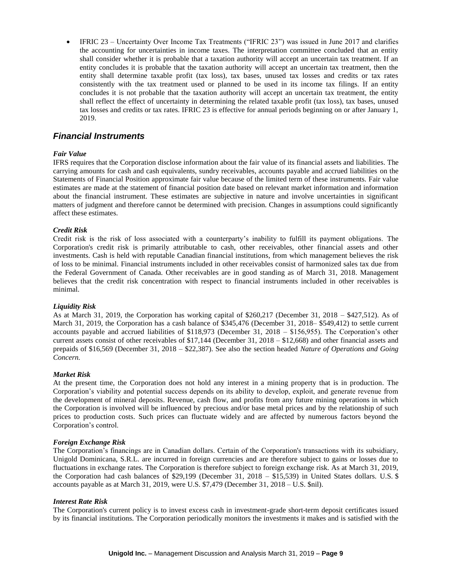IFRIC 23 – Uncertainty Over Income Tax Treatments ("IFRIC 23") was issued in June 2017 and clarifies the accounting for uncertainties in income taxes. The interpretation committee concluded that an entity shall consider whether it is probable that a taxation authority will accept an uncertain tax treatment. If an entity concludes it is probable that the taxation authority will accept an uncertain tax treatment, then the entity shall determine taxable profit (tax loss), tax bases, unused tax losses and credits or tax rates consistently with the tax treatment used or planned to be used in its income tax filings. If an entity concludes it is not probable that the taxation authority will accept an uncertain tax treatment, the entity shall reflect the effect of uncertainty in determining the related taxable profit (tax loss), tax bases, unused tax losses and credits or tax rates. IFRIC 23 is effective for annual periods beginning on or after January 1, 2019.

### *Financial Instruments*

#### *Fair Value*

IFRS requires that the Corporation disclose information about the fair value of its financial assets and liabilities. The carrying amounts for cash and cash equivalents, sundry receivables, accounts payable and accrued liabilities on the Statements of Financial Position approximate fair value because of the limited term of these instruments. Fair value estimates are made at the statement of financial position date based on relevant market information and information about the financial instrument. These estimates are subjective in nature and involve uncertainties in significant matters of judgment and therefore cannot be determined with precision. Changes in assumptions could significantly affect these estimates.

#### *Credit Risk*

Credit risk is the risk of loss associated with a counterparty's inability to fulfill its payment obligations. The Corporation's credit risk is primarily attributable to cash, other receivables, other financial assets and other investments. Cash is held with reputable Canadian financial institutions, from which management believes the risk of loss to be minimal. Financial instruments included in other receivables consist of harmonized sales tax due from the Federal Government of Canada. Other receivables are in good standing as of March 31, 2018. Management believes that the credit risk concentration with respect to financial instruments included in other receivables is minimal.

#### *Liquidity Risk*

As at March 31, 2019, the Corporation has working capital of \$260,217 (December 31, 2018 – \$427,512). As of March 31, 2019, the Corporation has a cash balance of \$345,476 (December 31, 2018– \$549,412) to settle current accounts payable and accrued liabilities of \$118,973 (December 31, 2018 – \$156,955). The Corporation's other current assets consist of other receivables of \$17,144 (December 31, 2018 – \$12,668) and other financial assets and prepaids of \$16,569 (December 31, 2018 – \$22,387). See also the section headed *Nature of Operations and Going Concern.*

#### *Market Risk*

At the present time, the Corporation does not hold any interest in a mining property that is in production. The Corporation's viability and potential success depends on its ability to develop, exploit, and generate revenue from the development of mineral deposits. Revenue, cash flow, and profits from any future mining operations in which the Corporation is involved will be influenced by precious and/or base metal prices and by the relationship of such prices to production costs. Such prices can fluctuate widely and are affected by numerous factors beyond the Corporation's control.

#### *Foreign Exchange Risk*

The Corporation's financings are in Canadian dollars. Certain of the Corporation's transactions with its subsidiary, Unigold Dominicana, S.R.L. are incurred in foreign currencies and are therefore subject to gains or losses due to fluctuations in exchange rates. The Corporation is therefore subject to foreign exchange risk. As at March 31, 2019, the Corporation had cash balances of \$29,199 (December 31, 2018 – \$15,539) in United States dollars. U.S. \$ accounts payable as at March 31, 2019, were U.S. \$7,479 (December 31, 2018 – U.S. \$nil).

#### *Interest Rate Risk*

The Corporation's current policy is to invest excess cash in investment-grade short-term deposit certificates issued by its financial institutions. The Corporation periodically monitors the investments it makes and is satisfied with the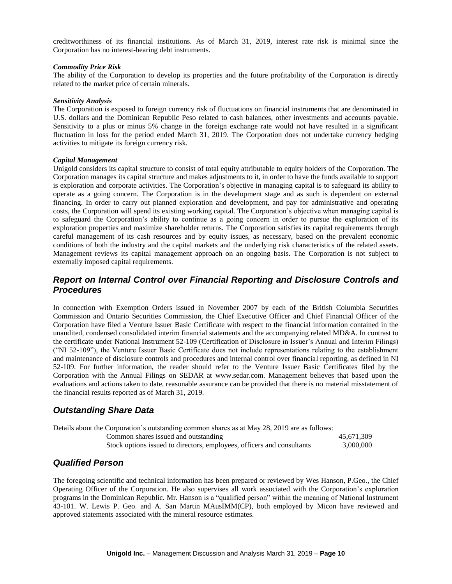creditworthiness of its financial institutions. As of March 31, 2019, interest rate risk is minimal since the Corporation has no interest-bearing debt instruments.

#### *Commodity Price Risk*

The ability of the Corporation to develop its properties and the future profitability of the Corporation is directly related to the market price of certain minerals.

#### *Sensitivity Analysis*

The Corporation is exposed to foreign currency risk of fluctuations on financial instruments that are denominated in U.S. dollars and the Dominican Republic Peso related to cash balances, other investments and accounts payable. Sensitivity to a plus or minus 5% change in the foreign exchange rate would not have resulted in a significant fluctuation in loss for the period ended March 31, 2019. The Corporation does not undertake currency hedging activities to mitigate its foreign currency risk.

#### *Capital Management*

Unigold considers its capital structure to consist of total equity attributable to equity holders of the Corporation. The Corporation manages its capital structure and makes adjustments to it, in order to have the funds available to support is exploration and corporate activities. The Corporation's objective in managing capital is to safeguard its ability to operate as a going concern. The Corporation is in the development stage and as such is dependent on external financing. In order to carry out planned exploration and development, and pay for administrative and operating costs, the Corporation will spend its existing working capital. The Corporation's objective when managing capital is to safeguard the Corporation's ability to continue as a going concern in order to pursue the exploration of its exploration properties and maximize shareholder returns. The Corporation satisfies its capital requirements through careful management of its cash resources and by equity issues, as necessary, based on the prevalent economic conditions of both the industry and the capital markets and the underlying risk characteristics of the related assets. Management reviews its capital management approach on an ongoing basis. The Corporation is not subject to externally imposed capital requirements.

# *Report on Internal Control over Financial Reporting and Disclosure Controls and Procedures*

In connection with Exemption Orders issued in November 2007 by each of the British Columbia Securities Commission and Ontario Securities Commission, the Chief Executive Officer and Chief Financial Officer of the Corporation have filed a Venture Issuer Basic Certificate with respect to the financial information contained in the unaudited, condensed consolidated interim financial statements and the accompanying related MD&A. In contrast to the certificate under National Instrument 52-109 (Certification of Disclosure in Issuer's Annual and Interim Filings) ("NI 52-109"), the Venture Issuer Basic Certificate does not include representations relating to the establishment and maintenance of disclosure controls and procedures and internal control over financial reporting, as defined in NI 52-109. For further information, the reader should refer to the Venture Issuer Basic Certificates filed by the Corporation with the Annual Filings on SEDAR at www.sedar.com. Management believes that based upon the evaluations and actions taken to date, reasonable assurance can be provided that there is no material misstatement of the financial results reported as of March 31, 2019.

# *Outstanding Share Data*

| Details about the Corporation's outstanding common shares as at May 28, 2019 are as follows: |            |
|----------------------------------------------------------------------------------------------|------------|
| Common shares issued and outstanding                                                         | 45.671.309 |
| Stock options issued to directors, employees, officers and consultants                       | 3.000.000  |

### *Qualified Person*

The foregoing scientific and technical information has been prepared or reviewed by Wes Hanson, P.Geo., the Chief Operating Officer of the Corporation. He also supervises all work associated with the Corporation's exploration programs in the Dominican Republic. Mr. Hanson is a "qualified person" within the meaning of National Instrument 43-101. W. Lewis P. Geo. and A. San Martin MAusIMM(CP), both employed by Micon have reviewed and approved statements associated with the mineral resource estimates.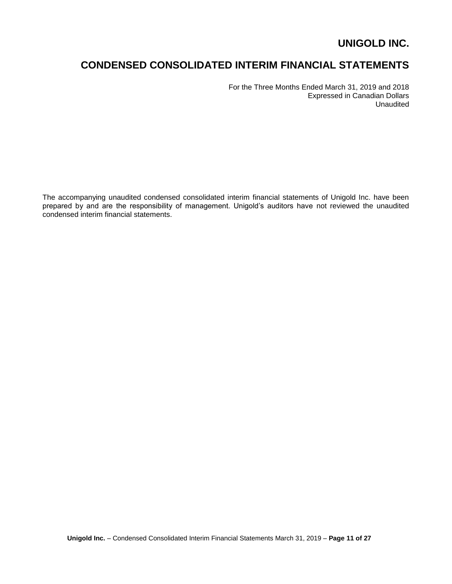# **CONDENSED CONSOLIDATED INTERIM FINANCIAL STATEMENTS**

For the Three Months Ended March 31, 2019 and 2018 Expressed in Canadian Dollars Unaudited

The accompanying unaudited condensed consolidated interim financial statements of Unigold Inc. have been prepared by and are the responsibility of management. Unigold's auditors have not reviewed the unaudited condensed interim financial statements.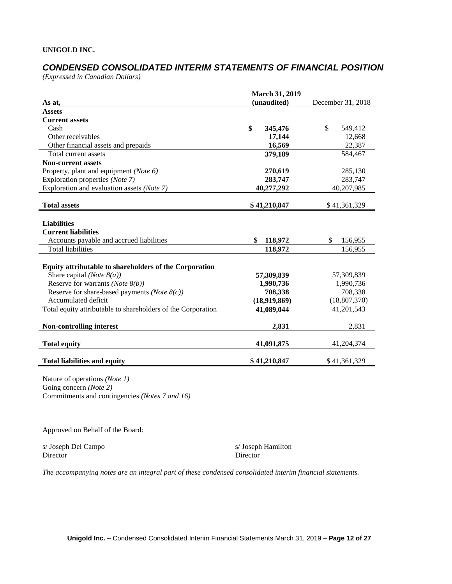# *CONDENSED CONSOLIDATED INTERIM STATEMENTS OF FINANCIAL POSITION*

*(Expressed in Canadian Dollars)*

|                                                              | <b>March 31, 2019</b> |                   |
|--------------------------------------------------------------|-----------------------|-------------------|
| As at,                                                       | (unaudited)           | December 31, 2018 |
| <b>Assets</b>                                                |                       |                   |
| <b>Current assets</b>                                        |                       |                   |
| Cash                                                         | \$<br>345,476         | \$<br>549,412     |
| Other receivables                                            | 17,144                | 12,668            |
| Other financial assets and prepaids                          | 16,569                | 22,387            |
| Total current assets                                         | 379,189               | 584,467           |
| <b>Non-current assets</b>                                    |                       |                   |
| Property, plant and equipment (Note 6)                       | 270,619               | 285,130           |
| Exploration properties (Note 7)                              | 283,747               | 283,747           |
| Exploration and evaluation assets (Note 7)                   | 40,277,292            | 40,207,985        |
| <b>Total assets</b>                                          | \$41,210,847          | \$41,361,329      |
| <b>Liabilities</b>                                           |                       |                   |
| <b>Current liabilities</b>                                   |                       |                   |
| Accounts payable and accrued liabilities                     | \$<br>118,972         | \$<br>156,955     |
| <b>Total liabilities</b>                                     | 118,972               | 156,955           |
| Equity attributable to shareholders of the Corporation       |                       |                   |
| Share capital ( <i>Note</i> $8(a)$ )                         | 57,309,839            | 57,309,839        |
| Reserve for warrants (Note $8(b)$ )                          | 1,990,736             | 1,990,736         |
| Reserve for share-based payments ( <i>Note</i> $8(c)$ )      | 708,338               | 708,338           |
| Accumulated deficit                                          | (18,919,869)          | (18, 807, 370)    |
| Total equity attributable to shareholders of the Corporation | 41,089,044            | 41,201,543        |
| <b>Non-controlling interest</b>                              | 2,831                 | 2,831             |
| <b>Total equity</b>                                          | 41,091,875            | 41,204,374        |
| <b>Total liabilities and equity</b>                          | \$41,210,847          | \$41,361,329      |

Nature of operations *(Note 1)* Going concern *(Note 2)* Commitments and contingencies *(Notes 7 and 16)*

Approved on Behalf of the Board:

s/ Joseph Del Campo s/ Joseph Hamilton Director Director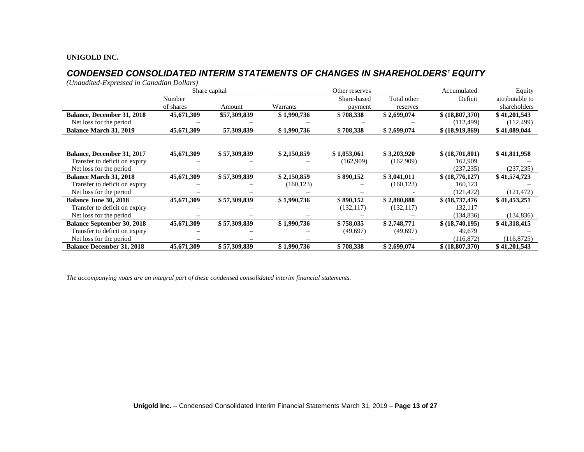# *CONDENSED CONSOLIDATED INTERIM STATEMENTS OF CHANGES IN SHAREHOLDERS' EQUITY*

*(Unaudited-Expressed in Canadian Dollars)*

|                                   |            | Share capital |             | Other reserves |             | Accumulated      | Equity          |
|-----------------------------------|------------|---------------|-------------|----------------|-------------|------------------|-----------------|
|                                   | Number     |               |             | Share-based    | Total other | Deficit          | attributable to |
|                                   | of shares  | Amount        | Warrants    | payment        | reserves    |                  | shareholders    |
| <b>Balance, December 31, 2018</b> | 45,671,309 | \$57,309,839  | \$1,990,736 | \$708,338      | \$2,699,074 | \$ (18,807,370)  | \$41,201,543    |
| Net loss for the period           |            |               |             |                |             | (112, 499)       | (112, 499)      |
| <b>Balance March 31, 2019</b>     | 45,671,309 | 57,309,839    | \$1,990,736 | \$708,338      | \$2,699,074 | \$ (18,919,869)  | \$41,089,044    |
|                                   |            |               |             |                |             |                  |                 |
| <b>Balance, December 31, 2017</b> | 45,671,309 | \$57,309,839  | \$2,150,859 | \$1,053,061    | \$3,203,920 | \$ (18,701,801)  | \$41,811,958    |
| Transfer to deficit on expiry     |            |               |             | (162,909)      | (162,909)   | 162,909          |                 |
| Net loss for the period           |            |               |             |                |             | (237, 235)       | (237, 235)      |
| <b>Balance March 31, 2018</b>     | 45,671,309 | \$57,309,839  | \$2,150,859 | \$890,152      | \$3,041,011 | \$ (18,776,127)  | \$41,574,723    |
| Transfer to deficit on expiry     |            |               | (160, 123)  |                | (160, 123)  | 160,123          |                 |
| Net loss for the period           |            |               |             |                |             | (121, 472)       | (121, 472)      |
| <b>Balance June 30, 2018</b>      | 45,671,309 | \$57,309,839  | \$1,990,736 | \$890,152      | \$2,880,888 | \$(18, 737, 476) | \$41,453,251    |
| Transfer to deficit on expiry     |            |               |             | (132, 117)     | (132, 117)  | 132,117          |                 |
| Net loss for the period           |            |               |             |                |             | (134, 836)       | (134, 836)      |
| <b>Balance September 30, 2018</b> | 45,671,309 | \$57,309,839  | \$1,990,736 | \$758,035      | \$2,748,771 | \$ (18,740,195)  | \$41,318,415    |
| Transfer to deficit on expiry     |            |               |             | (49,697)       | (49,697)    | 49,679           |                 |
| Net loss for the period           |            |               |             |                |             | (116,872)        | (116,8725)      |
| <b>Balance December 31, 2018</b>  | 45,671,309 | \$57,309,839  | \$1,990,736 | \$708,338      | \$2,699,074 | \$ (18,807,370)  | \$41,201,543    |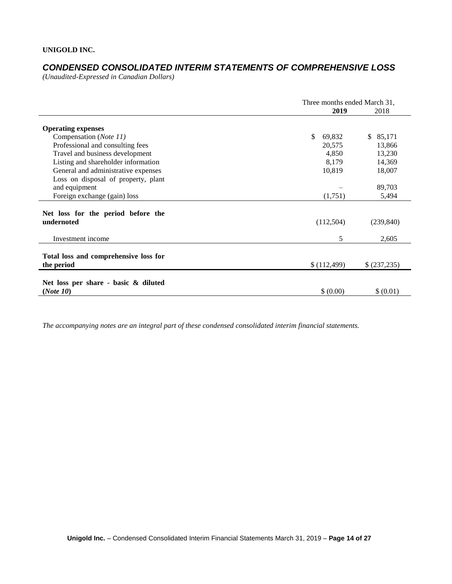# *CONDENSED CONSOLIDATED INTERIM STATEMENTS OF COMPREHENSIVE LOSS*

*(Unaudited-Expressed in Canadian Dollars)* 

|                                                     | Three months ended March 31, |                          |  |  |
|-----------------------------------------------------|------------------------------|--------------------------|--|--|
|                                                     | 2019                         | 2018                     |  |  |
| <b>Operating expenses</b>                           |                              |                          |  |  |
| Compensation (Note 11)                              | \$<br>69,832                 | 85,171<br>$\mathbb{S}^-$ |  |  |
| Professional and consulting fees                    | 20,575                       | 13,866                   |  |  |
| Travel and business development                     | 4,850                        | 13,230                   |  |  |
| Listing and shareholder information                 | 8,179                        | 14,369                   |  |  |
| General and administrative expenses                 | 10,819                       | 18,007                   |  |  |
| Loss on disposal of property, plant                 |                              |                          |  |  |
| and equipment                                       |                              | 89,703                   |  |  |
| Foreign exchange (gain) loss                        | (1,751)                      | 5,494                    |  |  |
| Net loss for the period before the<br>undernoted    | (112,504)                    | (239, 840)               |  |  |
| Investment income                                   | 5                            | 2,605                    |  |  |
| Total loss and comprehensive loss for<br>the period | \$(112,499)                  | \$(237,235)              |  |  |
|                                                     |                              |                          |  |  |
| Net loss per share - basic & diluted<br>(Note 10)   | \$ (0.00)                    | \$ (0.01)                |  |  |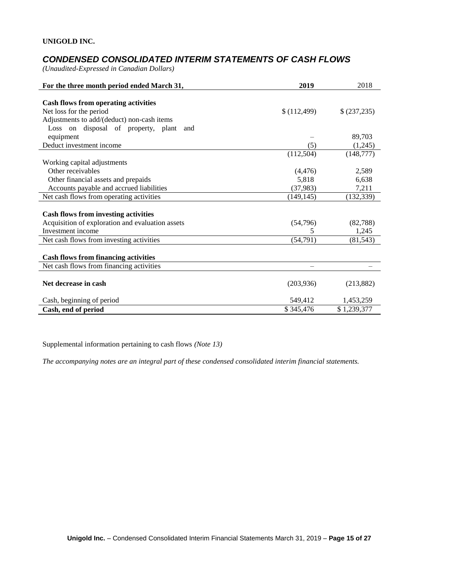# *CONDENSED CONSOLIDATED INTERIM STATEMENTS OF CASH FLOWS*

*(Unaudited-Expressed in Canadian Dollars)* 

| For the three month period ended March 31,       | 2019       | 2018         |
|--------------------------------------------------|------------|--------------|
|                                                  |            |              |
| <b>Cash flows from operating activities</b>      |            |              |
| Net loss for the period                          | (112, 499) | \$ (237,235) |
| Adjustments to add/(deduct) non-cash items       |            |              |
| Loss on disposal of property, plant<br>and       |            |              |
| equipment                                        |            | 89,703       |
| Deduct investment income                         | (5)        | (1,245)      |
|                                                  | (112,504)  | (148, 777)   |
| Working capital adjustments                      |            |              |
| Other receivables                                | (4, 476)   | 2,589        |
| Other financial assets and prepaids              | 5,818      | 6,638        |
| Accounts payable and accrued liabilities         | (37,983)   | 7,211        |
| Net cash flows from operating activities         | (149, 145) | (132, 339)   |
|                                                  |            |              |
| <b>Cash flows from investing activities</b>      |            |              |
| Acquisition of exploration and evaluation assets | (54,796)   | (82,788)     |
| Investment income                                | 5          | 1,245        |
| Net cash flows from investing activities         | (54,791)   | (81, 543)    |
|                                                  |            |              |
| <b>Cash flows from financing activities</b>      |            |              |
| Net cash flows from financing activities         |            |              |
|                                                  |            |              |
| Net decrease in cash                             | (203, 936) | (213, 882)   |
| Cash, beginning of period                        | 549,412    | 1,453,259    |
| Cash, end of period                              | \$345,476  | \$1,239,377  |

Supplemental information pertaining to cash flows *(Note 13)*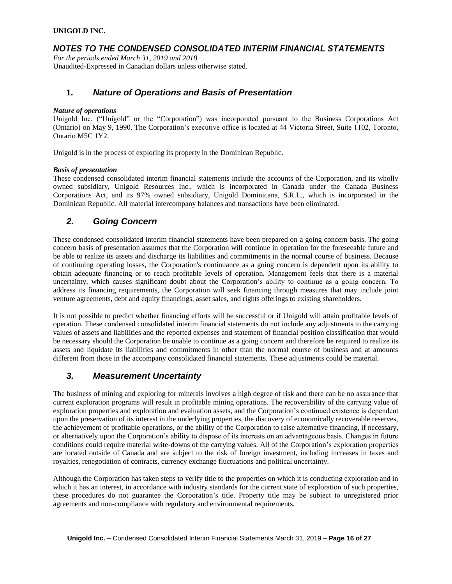# *NOTES TO THE CONDENSED CONSOLIDATED INTERIM FINANCIAL STATEMENTS*

*For the periods ended March 31, 2019 and 2018* Unaudited-Expressed in Canadian dollars unless otherwise stated.

### **1.** *Nature of Operations and Basis of Presentation*

#### *Nature of operations*

Unigold Inc. ("Unigold" or the "Corporation") was incorporated pursuant to the Business Corporations Act (Ontario) on May 9, 1990. The Corporation's executive office is located at 44 Victoria Street, Suite 1102, Toronto, Ontario M5C 1Y2.

Unigold is in the process of exploring its property in the Dominican Republic.

#### *Basis of presentation*

These condensed consolidated interim financial statements include the accounts of the Corporation, and its wholly owned subsidiary, Unigold Resources Inc., which is incorporated in Canada under the Canada Business Corporations Act, and its 97% owned subsidiary, Unigold Dominicana, S.R.L., which is incorporated in the Dominican Republic. All material intercompany balances and transactions have been eliminated.

# *2. Going Concern*

These condensed consolidated interim financial statements have been prepared on a going concern basis. The going concern basis of presentation assumes that the Corporation will continue in operation for the foreseeable future and be able to realize its assets and discharge its liabilities and commitments in the normal course of business. Because of continuing operating losses, the Corporation's continuance as a going concern is dependent upon its ability to obtain adequate financing or to reach profitable levels of operation. Management feels that there is a material uncertainty, which causes significant doubt about the Corporation's ability to continue as a going concern. To address its financing requirements, the Corporation will seek financing through measures that may include joint venture agreements, debt and equity financings, asset sales, and rights offerings to existing shareholders.

It is not possible to predict whether financing efforts will be successful or if Unigold will attain profitable levels of operation. These condensed consolidated interim financial statements do not include any adjustments to the carrying values of assets and liabilities and the reported expenses and statement of financial position classification that would be necessary should the Corporation be unable to continue as a going concern and therefore be required to realize its assets and liquidate its liabilities and commitments in other than the normal course of business and at amounts different from those in the accompany consolidated financial statements. These adjustments could be material.

# *3. Measurement Uncertainty*

The business of mining and exploring for minerals involves a high degree of risk and there can be no assurance that current exploration programs will result in profitable mining operations. The recoverability of the carrying value of exploration properties and exploration and evaluation assets, and the Corporation's continued existence is dependent upon the preservation of its interest in the underlying properties, the discovery of economically recoverable reserves, the achievement of profitable operations, or the ability of the Corporation to raise alternative financing, if necessary, or alternatively upon the Corporation's ability to dispose of its interests on an advantageous basis. Changes in future conditions could require material write-downs of the carrying values. All of the Corporation's exploration properties are located outside of Canada and are subject to the risk of foreign investment, including increases in taxes and royalties, renegotiation of contracts, currency exchange fluctuations and political uncertainty.

Although the Corporation has taken steps to verify title to the properties on which it is conducting exploration and in which it has an interest, in accordance with industry standards for the current state of exploration of such properties, these procedures do not guarantee the Corporation's title. Property title may be subject to unregistered prior agreements and non-compliance with regulatory and environmental requirements.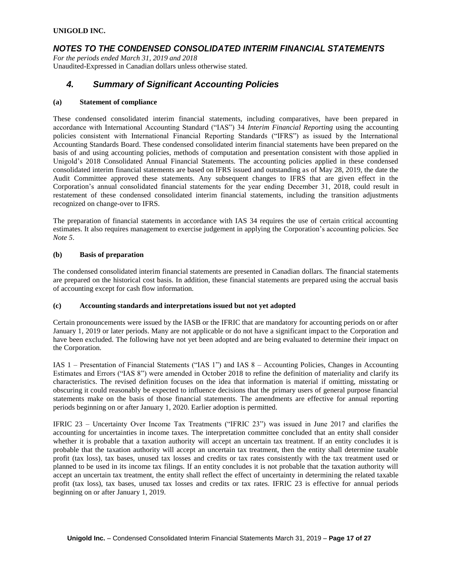### *NOTES TO THE CONDENSED CONSOLIDATED INTERIM FINANCIAL STATEMENTS*

*For the periods ended March 31, 2019 and 2018* Unaudited-Expressed in Canadian dollars unless otherwise stated.

# *4. Summary of Significant Accounting Policies*

#### **(a) Statement of compliance**

These condensed consolidated interim financial statements, including comparatives, have been prepared in accordance with International Accounting Standard ("IAS") 34 *Interim Financial Reporting* using the accounting policies consistent with International Financial Reporting Standards ("IFRS") as issued by the International Accounting Standards Board. These condensed consolidated interim financial statements have been prepared on the basis of and using accounting policies, methods of computation and presentation consistent with those applied in Unigold's 2018 Consolidated Annual Financial Statements. The accounting policies applied in these condensed consolidated interim financial statements are based on IFRS issued and outstanding as of May 28, 2019, the date the Audit Committee approved these statements. Any subsequent changes to IFRS that are given effect in the Corporation's annual consolidated financial statements for the year ending December 31, 2018, could result in restatement of these condensed consolidated interim financial statements, including the transition adjustments recognized on change-over to IFRS.

The preparation of financial statements in accordance with IAS 34 requires the use of certain critical accounting estimates. It also requires management to exercise judgement in applying the Corporation's accounting policies. See *Note 5*.

#### **(b) Basis of preparation**

The condensed consolidated interim financial statements are presented in Canadian dollars. The financial statements are prepared on the historical cost basis. In addition, these financial statements are prepared using the accrual basis of accounting except for cash flow information.

#### **(c) Accounting standards and interpretations issued but not yet adopted**

Certain pronouncements were issued by the IASB or the IFRIC that are mandatory for accounting periods on or after January 1, 2019 or later periods. Many are not applicable or do not have a significant impact to the Corporation and have been excluded. The following have not yet been adopted and are being evaluated to determine their impact on the Corporation.

IAS 1 – Presentation of Financial Statements ("IAS 1") and IAS 8 – Accounting Policies, Changes in Accounting Estimates and Errors ("IAS 8") were amended in October 2018 to refine the definition of materiality and clarify its characteristics. The revised definition focuses on the idea that information is material if omitting, misstating or obscuring it could reasonably be expected to influence decisions that the primary users of general purpose financial statements make on the basis of those financial statements. The amendments are effective for annual reporting periods beginning on or after January 1, 2020. Earlier adoption is permitted.

IFRIC 23 – Uncertainty Over Income Tax Treatments ("IFRIC 23") was issued in June 2017 and clarifies the accounting for uncertainties in income taxes. The interpretation committee concluded that an entity shall consider whether it is probable that a taxation authority will accept an uncertain tax treatment. If an entity concludes it is probable that the taxation authority will accept an uncertain tax treatment, then the entity shall determine taxable profit (tax loss), tax bases, unused tax losses and credits or tax rates consistently with the tax treatment used or planned to be used in its income tax filings. If an entity concludes it is not probable that the taxation authority will accept an uncertain tax treatment, the entity shall reflect the effect of uncertainty in determining the related taxable profit (tax loss), tax bases, unused tax losses and credits or tax rates. IFRIC 23 is effective for annual periods beginning on or after January 1, 2019.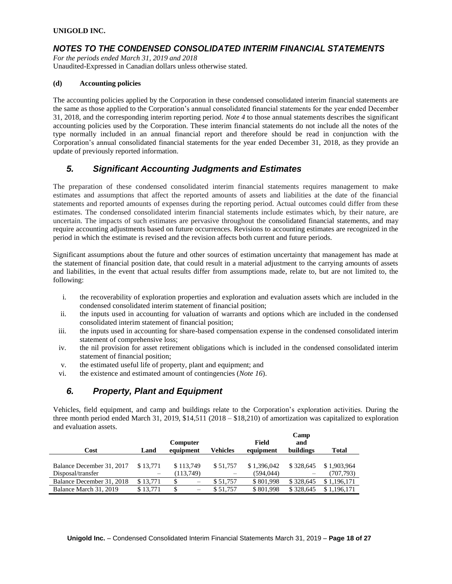## *NOTES TO THE CONDENSED CONSOLIDATED INTERIM FINANCIAL STATEMENTS*

*For the periods ended March 31, 2019 and 2018* Unaudited-Expressed in Canadian dollars unless otherwise stated.

#### **(d) Accounting policies**

The accounting policies applied by the Corporation in these condensed consolidated interim financial statements are the same as those applied to the Corporation's annual consolidated financial statements for the year ended December 31, 2018, and the corresponding interim reporting period. *Note 4* to those annual statements describes the significant accounting policies used by the Corporation. These interim financial statements do not include all the notes of the type normally included in an annual financial report and therefore should be read in conjunction with the Corporation's annual consolidated financial statements for the year ended December 31, 2018, as they provide an update of previously reported information.

# *5. Significant Accounting Judgments and Estimates*

The preparation of these condensed consolidated interim financial statements requires management to make estimates and assumptions that affect the reported amounts of assets and liabilities at the date of the financial statements and reported amounts of expenses during the reporting period. Actual outcomes could differ from these estimates. The condensed consolidated interim financial statements include estimates which, by their nature, are uncertain. The impacts of such estimates are pervasive throughout the consolidated financial statements, and may require accounting adjustments based on future occurrences. Revisions to accounting estimates are recognized in the period in which the estimate is revised and the revision affects both current and future periods.

Significant assumptions about the future and other sources of estimation uncertainty that management has made at the statement of financial position date, that could result in a material adjustment to the carrying amounts of assets and liabilities, in the event that actual results differ from assumptions made, relate to, but are not limited to, the following:

- i. the recoverability of exploration properties and exploration and evaluation assets which are included in the condensed consolidated interim statement of financial position;
- ii. the inputs used in accounting for valuation of warrants and options which are included in the condensed consolidated interim statement of financial position;
- iii. the inputs used in accounting for share-based compensation expense in the condensed consolidated interim statement of comprehensive loss;
- iv. the nil provision for asset retirement obligations which is included in the condensed consolidated interim statement of financial position;
- v. the estimated useful life of property, plant and equipment; and
- vi. the existence and estimated amount of contingencies (*Note 16*).

# *6. Property, Plant and Equipment*

Vehicles, field equipment, and camp and buildings relate to the Corporation's exploration activities. During the three month period ended March 31, 2019, \$14,511 (2018 – \$18,210) of amortization was capitalized to exploration and evaluation assets.

| Cost                                           | Land                                 | <b>Computer</b><br>equipment  | Vehicles | Field<br>equipment        | Camp<br>and<br>buildings | Total                    |
|------------------------------------------------|--------------------------------------|-------------------------------|----------|---------------------------|--------------------------|--------------------------|
| Balance December 31, 2017<br>Disposal/transfer | \$13,771                             | \$113,749<br>(113,749)        | \$51.757 | \$1,396,042<br>(594, 044) | \$328,645                | \$1,903,964<br>(707,793) |
| Balance December 31, 2018                      | $\overline{\phantom{m}}$<br>\$13,771 | S<br>$\overline{\phantom{m}}$ | \$51,757 | \$801,998                 | \$328,645                | \$1,196,171              |
| Balance March 31, 2019                         | \$13.771                             | \$<br>$\qquad \qquad$         | \$51.757 | \$801,998                 | \$328,645                | \$1,196,171              |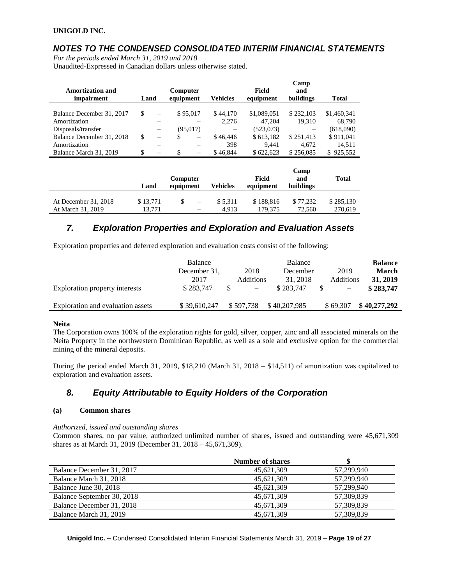# *NOTES TO THE CONDENSED CONSOLIDATED INTERIM FINANCIAL STATEMENTS*

*For the periods ended March 31, 2019 and 2018*

Unaudited-Expressed in Canadian dollars unless otherwise stated.

|                           |               |           |          |                 |              | Camp      |                |
|---------------------------|---------------|-----------|----------|-----------------|--------------|-----------|----------------|
| <b>Amortization and</b>   |               | Computer  |          |                 | <b>Field</b> | and       |                |
| impairment                | Land          | equipment |          | <b>Vehicles</b> | equipment    | buildings | <b>Total</b>   |
|                           |               |           |          |                 |              |           |                |
| Balance December 31, 2017 | \$.           |           | \$95,017 | \$44,170        | \$1,089,051  | \$232,103 | \$1,460,341    |
| Amortization              |               |           |          | 2.276           | 47.204       | 19.310    | 68,790         |
| Disposals/transfer        |               |           | (95.017) |                 | (523,073)    |           | (618,090)      |
| Balance December 31, 2018 | <sup>\$</sup> | S         | -        | \$46,446        | \$613,182    | \$251,413 | \$911,041      |
| Amortization              |               |           |          | 398             | 9.441        | 4.672     | 14,511         |
| Balance March 31, 2019    | S             |           |          | \$46,844        | \$622.623    | \$256,085 | 925,552<br>\$. |

|                      | Land     | <b>Computer</b><br>equipment | Vehicles | Field<br>equipment | Camp<br>and<br>buildings | <b>Total</b> |
|----------------------|----------|------------------------------|----------|--------------------|--------------------------|--------------|
| At December 31, 2018 | \$13,771 | $\overline{\phantom{m}}$     | \$5.311  | \$188,816          | \$77.232                 | \$285,130    |
| At March 31, 2019    | 13.771   | $\overline{\phantom{m}}$     | 4.913    | 179.375            | 72.560                   | 270.619      |

# *7. Exploration Properties and Exploration and Evaluation Assets*

Exploration properties and deferred exploration and evaluation costs consist of the following:

|                                   | Balance      |           |                          | Balance      |                          | <b>Balance</b> |
|-----------------------------------|--------------|-----------|--------------------------|--------------|--------------------------|----------------|
|                                   | December 31. |           | 2018                     | December     | 2019                     | March          |
|                                   | 2017         |           | <b>Additions</b>         | 31, 2018     | Additions                | 31, 2019       |
| Exploration property interests    | \$283,747    |           | $\overline{\phantom{m}}$ | \$283,747    | $\overline{\phantom{0}}$ | \$283,747      |
| Exploration and evaluation assets | \$39,610,247 | \$597,738 |                          | \$40,207,985 | \$69,307                 | \$40,277,292   |

#### **Neita**

The Corporation owns 100% of the exploration rights for gold, silver, copper, zinc and all associated minerals on the Neita Property in the northwestern Dominican Republic, as well as a sole and exclusive option for the commercial mining of the mineral deposits.

During the period ended March 31, 2019, \$18,210 (March 31, 2018 – \$14,511) of amortization was capitalized to exploration and evaluation assets.

# *8. Equity Attributable to Equity Holders of the Corporation*

#### **(a) Common shares**

*Authorized, issued and outstanding shares*

Common shares, no par value, authorized unlimited number of shares, issued and outstanding were 45,671,309 shares as at March 31, 2019 (December 31, 2018 – 45,671,309).

|                            | <b>Number of shares</b> |            |
|----------------------------|-------------------------|------------|
| Balance December 31, 2017  | 45,621,309              | 57.299.940 |
| Balance March 31, 2018     | 45,621,309              | 57.299.940 |
| Balance June 30, 2018      | 45,621,309              | 57,299,940 |
| Balance September 30, 2018 | 45,671,309              | 57.309.839 |
| Balance December 31, 2018  | 45,671,309              | 57,309,839 |
| Balance March 31, 2019     | 45.671.309              | 57,309,839 |

**Unigold Inc.** – Condensed Consolidated Interim Financial Statements March 31, 2019 – **Page 19 of 27**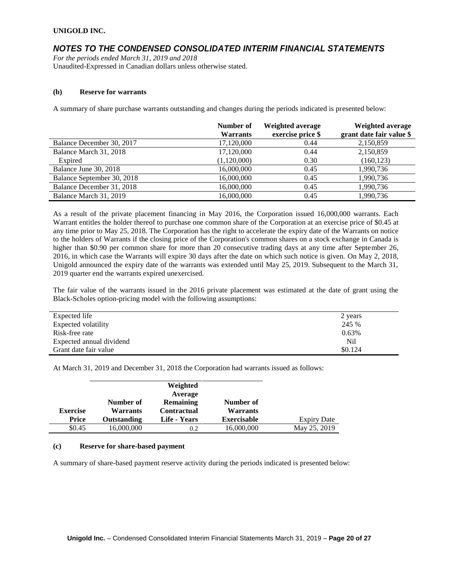## *NOTES TO THE CONDENSED CONSOLIDATED INTERIM FINANCIAL STATEMENTS*

*For the periods ended March 31, 2019 and 2018* Unaudited-Expressed in Canadian dollars unless otherwise stated.

#### **(b) Reserve for warrants**

A summary of share purchase warrants outstanding and changes during the periods indicated is presented below:

|                            | Number of       | Weighted average  | Weighted average         |
|----------------------------|-----------------|-------------------|--------------------------|
|                            | <b>Warrants</b> | exercise price \$ | grant date fair value \$ |
| Balance December 30, 2017  | 17,120,000      | 0.44              | 2,150,859                |
| Balance March 31, 2018     | 17,120,000      | 0.44              | 2,150,859                |
| Expired                    | (1,120,000)     | 0.30              | (160, 123)               |
| Balance June 30, 2018      | 16,000,000      | 0.45              | 1,990,736                |
| Balance September 30, 2018 | 16,000,000      | 0.45              | 1,990,736                |
| Balance December 31, 2018  | 16,000,000      | 0.45              | 1,990,736                |
| Balance March 31, 2019     | 16,000,000      | 0.45              | 1,990,736                |

As a result of the private placement financing in May 2016, the Corporation issued 16,000,000 warrants. Each Warrant entitles the holder thereof to purchase one common share of the Corporation at an exercise price of \$0.45 at any time prior to May 25, 2018. The Corporation has the right to accelerate the expiry date of the Warrants on notice to the holders of Warrants if the closing price of the Corporation's common shares on a stock exchange in Canada is higher than \$0.90 per common share for more than 20 consecutive trading days at any time after September 26, 2016, in which case the Warrants will expire 30 days after the date on which such notice is given. On May 2, 2018, Unigold announced the expiry date of the warrants was extended until May 25, 2019. Subsequent to the March 31, 2019 quarter end the warrants expired unexercised.

The fair value of the warrants issued in the 2016 private placement was estimated at the date of grant using the Black-Scholes option-pricing model with the following assumptions:

| Expected life            | 2 years |
|--------------------------|---------|
| Expected volatility      | 245 %   |
| Risk-free rate           | 0.63%   |
| Expected annual dividend | Nil     |
| Grant date fair value    | \$0.124 |

At March 31, 2019 and December 31, 2018 the Corporation had warrants issued as follows:

|                 |                       | Weighted<br>Average                    |                              |                    |
|-----------------|-----------------------|----------------------------------------|------------------------------|--------------------|
| <b>Exercise</b> | Number of<br>Warrants | <b>Remaining</b><br><b>Contractual</b> | Number of<br><b>Warrants</b> |                    |
| <b>Price</b>    | Outstanding           | Life - Years                           | <b>Exercisable</b>           | <b>Expiry Date</b> |
| \$0.45          | 16,000,000            | 0.2                                    | 16,000,000                   | May 25, 2019       |

#### **(c) Reserve for share-based payment**

A summary of share-based payment reserve activity during the periods indicated is presented below: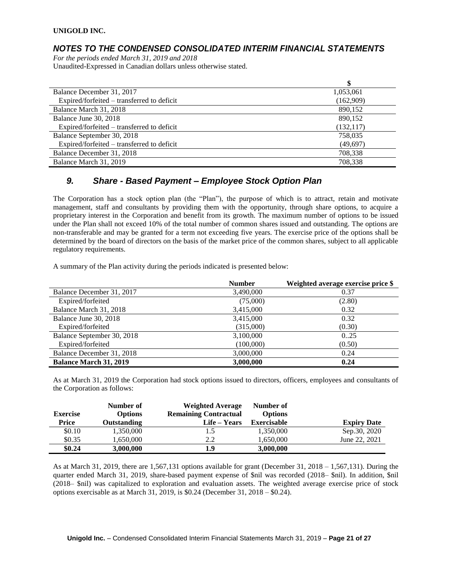# *NOTES TO THE CONDENSED CONSOLIDATED INTERIM FINANCIAL STATEMENTS*

*For the periods ended March 31, 2019 and 2018* Unaudited-Expressed in Canadian dollars unless otherwise stated.

|                                            | \$         |
|--------------------------------------------|------------|
| Balance December 31, 2017                  | 1,053,061  |
| Expired/forfeited – transferred to deficit | (162,909)  |
| Balance March 31, 2018                     | 890,152    |
| Balance June 30, 2018                      | 890,152    |
| Expired/forfeited – transferred to deficit | (132, 117) |
| Balance September 30, 2018                 | 758,035    |
| Expired/forfeited – transferred to deficit | (49,697)   |
| Balance December 31, 2018                  | 708,338    |
| Balance March 31, 2019                     | 708,338    |

# *9. Share - Based Payment – Employee Stock Option Plan*

The Corporation has a stock option plan (the "Plan"), the purpose of which is to attract, retain and motivate management, staff and consultants by providing them with the opportunity, through share options, to acquire a proprietary interest in the Corporation and benefit from its growth. The maximum number of options to be issued under the Plan shall not exceed 10% of the total number of common shares issued and outstanding. The options are non-transferable and may be granted for a term not exceeding five years. The exercise price of the options shall be determined by the board of directors on the basis of the market price of the common shares, subject to all applicable regulatory requirements.

A summary of the Plan activity during the periods indicated is presented below:

|                               | <b>Number</b> | Weighted average exercise price \$ |
|-------------------------------|---------------|------------------------------------|
| Balance December 31, 2017     | 3,490,000     | 0.37                               |
| Expired/forfeited             | (75,000)      | (2.80)                             |
| Balance March 31, 2018        | 3,415,000     | 0.32                               |
| Balance June 30, 2018         | 3,415,000     | 0.32                               |
| Expired/forfeited             | (315,000)     | (0.30)                             |
| Balance September 30, 2018    | 3,100,000     | 0.25                               |
| Expired/forfeited             | (100,000)     | (0.50)                             |
| Balance December 31, 2018     | 3,000,000     | 0.24                               |
| <b>Balance March 31, 2019</b> | 3,000,000     | 0.24                               |

As at March 31, 2019 the Corporation had stock options issued to directors, officers, employees and consultants of the Corporation as follows:

| <b>Exercise</b> | Number of<br><b>Options</b> | <b>Weighted Average</b><br><b>Remaining Contractual</b> | Number of<br><b>Options</b> |                    |
|-----------------|-----------------------------|---------------------------------------------------------|-----------------------------|--------------------|
| <b>Price</b>    | Outstanding                 | Life – Years                                            | Exercisable                 | <b>Expiry Date</b> |
| \$0.10          | 1,350,000                   | 1.5                                                     | 1,350,000                   | Sep.30, 2020       |
| \$0.35          | 1.650.000                   | 2.2                                                     | 1.650.000                   | June 22, 2021      |
| \$0.24          | 3,000,000                   | 1.9                                                     | 3,000,000                   |                    |

As at March 31, 2019, there are 1,567,131 options available for grant (December 31, 2018 – 1,567,131). During the quarter ended March 31, 2019, share-based payment expense of \$nil was recorded (2018– \$nil). In addition, \$nil (2018– \$nil) was capitalized to exploration and evaluation assets. The weighted average exercise price of stock options exercisable as at March 31, 2019, is \$0.24 (December 31, 2018 – \$0.24).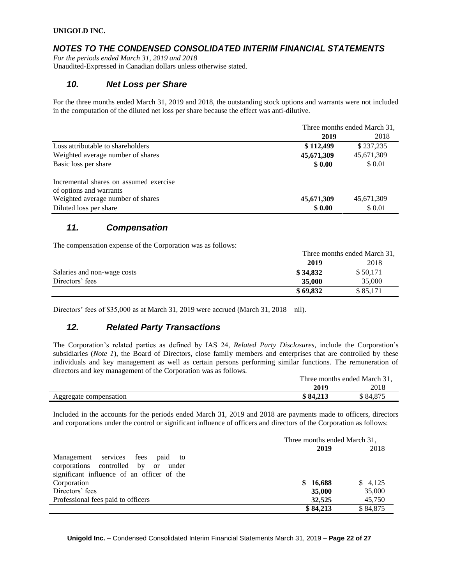# *NOTES TO THE CONDENSED CONSOLIDATED INTERIM FINANCIAL STATEMENTS*

*For the periods ended March 31, 2019 and 2018* Unaudited-Expressed in Canadian dollars unless otherwise stated.

# *10. Net Loss per Share*

For the three months ended March 31, 2019 and 2018, the outstanding stock options and warrants were not included in the computation of the diluted net loss per share because the effect was anti-dilutive.

|                                        | Three months ended March 31, |            |  |
|----------------------------------------|------------------------------|------------|--|
|                                        | 2019                         | 2018       |  |
| Loss attributable to shareholders      | \$112,499                    | \$237,235  |  |
| Weighted average number of shares      | 45,671,309                   | 45,671,309 |  |
| Basic loss per share                   | \$0.00                       | \$ 0.01    |  |
| Incremental shares on assumed exercise |                              |            |  |
| of options and warrants                |                              |            |  |
| Weighted average number of shares      | 45,671,309                   | 45,671,309 |  |
| Diluted loss per share                 | \$0.00                       | \$ 0.01    |  |

# *11. Compensation*

The compensation expense of the Corporation was as follows:

|                             | Three months ended March 31, |          |  |
|-----------------------------|------------------------------|----------|--|
|                             | 2019                         | 2018     |  |
| Salaries and non-wage costs | \$34,832                     | \$50,171 |  |
| Directors' fees             | 35,000                       | 35,000   |  |
|                             | \$69,832                     | \$85,171 |  |

Directors' fees of \$35,000 as at March 31, 2019 were accrued (March 31, 2018 – nil).

# *12. Related Party Transactions*

The Corporation's related parties as defined by IAS 24, *Related Party Disclosures*, include the Corporation's subsidiaries (*Note 1*), the Board of Directors, close family members and enterprises that are controlled by these individuals and key management as well as certain persons performing similar functions. The remuneration of directors and key management of the Corporation was as follows.

|                        |          | Three months ended March 31, |  |  |
|------------------------|----------|------------------------------|--|--|
|                        | 2019     | 2018                         |  |  |
| Aggregate compensation | \$84,213 | \$84,875                     |  |  |

Included in the accounts for the periods ended March 31, 2019 and 2018 are payments made to officers, directors and corporations under the control or significant influence of officers and directors of the Corporation as follows:

|                                            | Three months ended March 31, |          |          |
|--------------------------------------------|------------------------------|----------|----------|
|                                            |                              | 2019     | 2018     |
| Management services fees<br>paid to        |                              |          |          |
| corporations controlled by or<br>under     |                              |          |          |
| significant influence of an officer of the |                              |          |          |
| Corporation                                |                              | \$16,688 | \$4,125  |
| Directors' fees                            |                              | 35,000   | 35,000   |
| Professional fees paid to officers         |                              | 32,525   | 45,750   |
|                                            |                              | \$84,213 | \$84,875 |

**Unigold Inc.** – Condensed Consolidated Interim Financial Statements March 31, 2019 – **Page 22 of 27**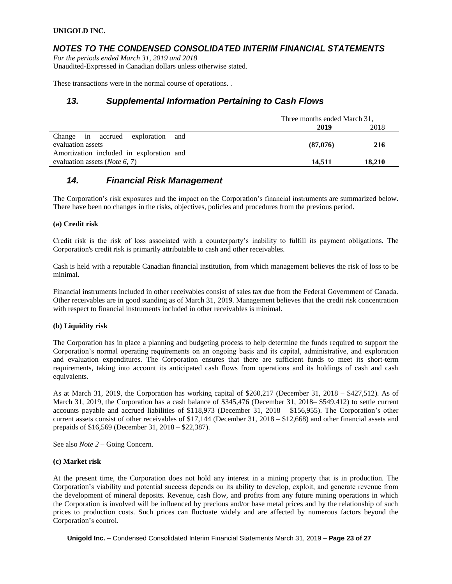### *NOTES TO THE CONDENSED CONSOLIDATED INTERIM FINANCIAL STATEMENTS*

*For the periods ended March 31, 2019 and 2018* Unaudited-Expressed in Canadian dollars unless otherwise stated.

These transactions were in the normal course of operations. .

### *13. Supplemental Information Pertaining to Cash Flows*

|                                          | Three months ended March 31, |        |  |
|------------------------------------------|------------------------------|--------|--|
|                                          | 2019                         | 2018   |  |
| Change in accrued exploration<br>and     |                              |        |  |
| evaluation assets                        | (87.076)                     | 216    |  |
| Amortization included in exploration and |                              |        |  |
| evaluation assets ( <i>Note</i> 6, 7)    | 14.511                       | 18,210 |  |

### *14. Financial Risk Management*

The Corporation's risk exposures and the impact on the Corporation's financial instruments are summarized below. There have been no changes in the risks, objectives, policies and procedures from the previous period.

#### **(a) Credit risk**

Credit risk is the risk of loss associated with a counterparty's inability to fulfill its payment obligations. The Corporation's credit risk is primarily attributable to cash and other receivables.

Cash is held with a reputable Canadian financial institution, from which management believes the risk of loss to be minimal.

Financial instruments included in other receivables consist of sales tax due from the Federal Government of Canada. Other receivables are in good standing as of March 31, 2019. Management believes that the credit risk concentration with respect to financial instruments included in other receivables is minimal.

#### **(b) Liquidity risk**

The Corporation has in place a planning and budgeting process to help determine the funds required to support the Corporation's normal operating requirements on an ongoing basis and its capital, administrative, and exploration and evaluation expenditures. The Corporation ensures that there are sufficient funds to meet its short-term requirements, taking into account its anticipated cash flows from operations and its holdings of cash and cash equivalents.

As at March 31, 2019, the Corporation has working capital of \$260,217 (December 31, 2018 – \$427,512). As of March 31, 2019, the Corporation has a cash balance of \$345,476 (December 31, 2018– \$549,412) to settle current accounts payable and accrued liabilities of \$118,973 (December 31, 2018 – \$156,955). The Corporation's other current assets consist of other receivables of \$17,144 (December 31, 2018 – \$12,668) and other financial assets and prepaids of \$16,569 (December 31, 2018 – \$22,387).

See also *Note 2* – Going Concern.

#### **(c) Market risk**

At the present time, the Corporation does not hold any interest in a mining property that is in production. The Corporation's viability and potential success depends on its ability to develop, exploit, and generate revenue from the development of mineral deposits. Revenue, cash flow, and profits from any future mining operations in which the Corporation is involved will be influenced by precious and/or base metal prices and by the relationship of such prices to production costs. Such prices can fluctuate widely and are affected by numerous factors beyond the Corporation's control.

**Unigold Inc.** – Condensed Consolidated Interim Financial Statements March 31, 2019 – **Page 23 of 27**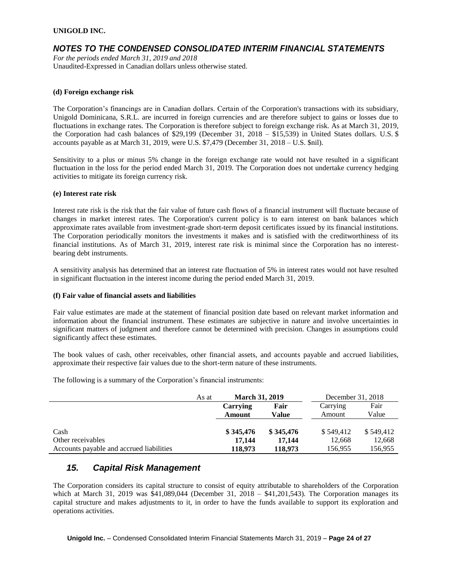### *NOTES TO THE CONDENSED CONSOLIDATED INTERIM FINANCIAL STATEMENTS*

*For the periods ended March 31, 2019 and 2018* Unaudited-Expressed in Canadian dollars unless otherwise stated.

#### **(d) Foreign exchange risk**

The Corporation's financings are in Canadian dollars. Certain of the Corporation's transactions with its subsidiary, Unigold Dominicana, S.R.L. are incurred in foreign currencies and are therefore subject to gains or losses due to fluctuations in exchange rates. The Corporation is therefore subject to foreign exchange risk. As at March 31, 2019, the Corporation had cash balances of \$29,199 (December 31, 2018 – \$15,539) in United States dollars. U.S. \$ accounts payable as at March 31, 2019, were U.S. \$7,479 (December 31, 2018 – U.S. \$nil).

Sensitivity to a plus or minus 5% change in the foreign exchange rate would not have resulted in a significant fluctuation in the loss for the period ended March 31, 2019. The Corporation does not undertake currency hedging activities to mitigate its foreign currency risk.

#### **(e) Interest rate risk**

Interest rate risk is the risk that the fair value of future cash flows of a financial instrument will fluctuate because of changes in market interest rates. The Corporation's current policy is to earn interest on bank balances which approximate rates available from investment-grade short-term deposit certificates issued by its financial institutions. The Corporation periodically monitors the investments it makes and is satisfied with the creditworthiness of its financial institutions. As of March 31, 2019, interest rate risk is minimal since the Corporation has no interestbearing debt instruments.

A sensitivity analysis has determined that an interest rate fluctuation of 5% in interest rates would not have resulted in significant fluctuation in the interest income during the period ended March 31, 2019.

#### **(f) Fair value of financial assets and liabilities**

Fair value estimates are made at the statement of financial position date based on relevant market information and information about the financial instrument. These estimates are subjective in nature and involve uncertainties in significant matters of judgment and therefore cannot be determined with precision. Changes in assumptions could significantly affect these estimates.

The book values of cash, other receivables, other financial assets, and accounts payable and accrued liabilities, approximate their respective fair values due to the short-term nature of these instruments.

The following is a summary of the Corporation's financial instruments:

|                                          | As at | <b>March 31, 2019</b> |           | December 31, 2018 |           |
|------------------------------------------|-------|-----------------------|-----------|-------------------|-----------|
|                                          |       | Carrying              | Fair      | Carrying          | Fair      |
|                                          |       | Amount                | Value     | Amount            | Value     |
|                                          |       |                       |           |                   |           |
| Cash                                     |       | \$345,476             | \$345,476 | \$549.412         | \$549.412 |
| Other receivables                        |       | 17.144                | 17.144    | 12,668            | 12,668    |
| Accounts payable and accrued liabilities |       | 118,973               | 118,973   | 156,955           | 156,955   |

### *15. Capital Risk Management*

The Corporation considers its capital structure to consist of equity attributable to shareholders of the Corporation which at March 31, 2019 was \$41,089,044 (December 31, 2018 – \$41,201,543). The Corporation manages its capital structure and makes adjustments to it, in order to have the funds available to support its exploration and operations activities.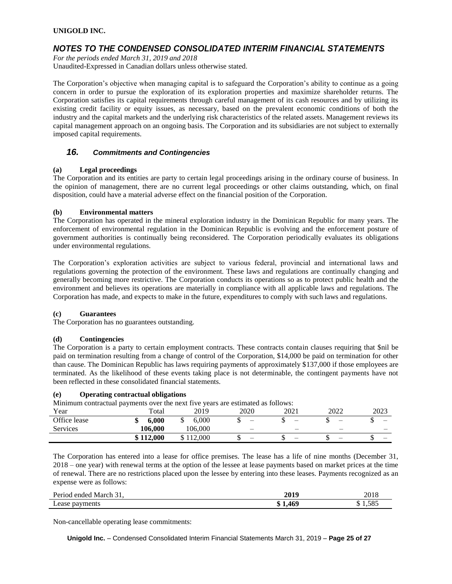### *NOTES TO THE CONDENSED CONSOLIDATED INTERIM FINANCIAL STATEMENTS*

*For the periods ended March 31, 2019 and 2018* Unaudited-Expressed in Canadian dollars unless otherwise stated.

The Corporation's objective when managing capital is to safeguard the Corporation's ability to continue as a going concern in order to pursue the exploration of its exploration properties and maximize shareholder returns. The Corporation satisfies its capital requirements through careful management of its cash resources and by utilizing its existing credit facility or equity issues, as necessary, based on the prevalent economic conditions of both the industry and the capital markets and the underlying risk characteristics of the related assets. Management reviews its capital management approach on an ongoing basis. The Corporation and its subsidiaries are not subject to externally imposed capital requirements.

#### *16. Commitments and Contingencies*

#### **(a) Legal proceedings**

The Corporation and its entities are party to certain legal proceedings arising in the ordinary course of business. In the opinion of management, there are no current legal proceedings or other claims outstanding, which, on final disposition, could have a material adverse effect on the financial position of the Corporation.

#### **(b) Environmental matters**

The Corporation has operated in the mineral exploration industry in the Dominican Republic for many years. The enforcement of environmental regulation in the Dominican Republic is evolving and the enforcement posture of government authorities is continually being reconsidered. The Corporation periodically evaluates its obligations under environmental regulations.

The Corporation's exploration activities are subject to various federal, provincial and international laws and regulations governing the protection of the environment. These laws and regulations are continually changing and generally becoming more restrictive. The Corporation conducts its operations so as to protect public health and the environment and believes its operations are materially in compliance with all applicable laws and regulations. The Corporation has made, and expects to make in the future, expenditures to comply with such laws and regulations.

#### **(c) Guarantees**

The Corporation has no guarantees outstanding.

#### **(d) Contingencies**

The Corporation is a party to certain employment contracts. These contracts contain clauses requiring that \$nil be paid on termination resulting from a change of control of the Corporation, \$14,000 be paid on termination for other than cause. The Dominican Republic has laws requiring payments of approximately \$137,000 if those employees are terminated. As the likelihood of these events taking place is not determinable, the contingent payments have not been reflected in these consolidated financial statements.

#### **(e) Operating contractual obligations**

Minimum contractual payments over the next five years are estimated as follows:

| Year         | $\tilde{\phantom{a}}$<br>Total | 2019    | 2020 | 2021                     | 2022 | 2023 |
|--------------|--------------------------------|---------|------|--------------------------|------|------|
| Office lease | 6.000<br>۱D                    | 6.000   | -    | -                        | -    | ш    |
| Services     | 106.000                        | 106.000 | -    | $\overline{\phantom{0}}$ | -    |      |
|              | \$112,000                      | 112,000 | –    | –                        | -    | —    |

The Corporation has entered into a lease for office premises. The lease has a life of nine months (December 31, 2018 – one year) with renewal terms at the option of the lessee at lease payments based on market prices at the time of renewal. There are no restrictions placed upon the lessee by entering into these leases. Payments recognized as an expense were as follows:

| Period ended March 31, | 2019 | 2018  |
|------------------------|------|-------|
| Lease payments         | 469  | 1.585 |

Non-cancellable operating lease commitments:

**Unigold Inc.** – Condensed Consolidated Interim Financial Statements March 31, 2019 – **Page 25 of 27**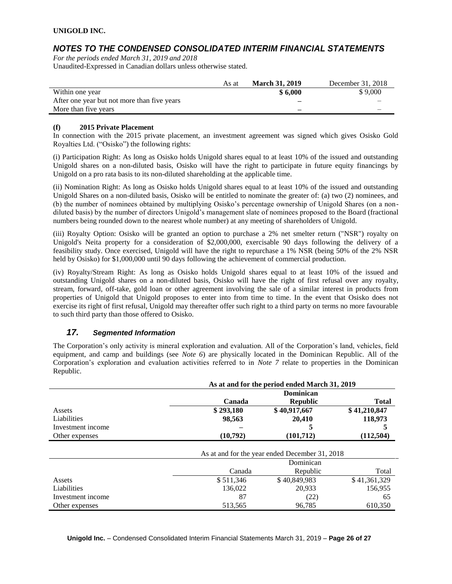# *NOTES TO THE CONDENSED CONSOLIDATED INTERIM FINANCIAL STATEMENTS*

*For the periods ended March 31, 2019 and 2018* Unaudited-Expressed in Canadian dollars unless otherwise stated.

|                                             | As at | <b>March 31, 2019</b> | December 31, 2018 |
|---------------------------------------------|-------|-----------------------|-------------------|
| Within one year                             |       | \$6.000               | \$9,000           |
| After one year but not more than five years |       |                       |                   |
| More than five years                        |       | _                     |                   |

#### **(f) 2015 Private Placement**

In connection with the 2015 private placement, an investment agreement was signed which gives Osisko Gold Royalties Ltd. ("Osisko") the following rights:

(i) Participation Right: As long as Osisko holds Unigold shares equal to at least 10% of the issued and outstanding Unigold shares on a non-diluted basis, Osisko will have the right to participate in future equity financings by Unigold on a pro rata basis to its non-diluted shareholding at the applicable time.

(ii) Nomination Right: As long as Osisko holds Unigold shares equal to at least 10% of the issued and outstanding Unigold Shares on a non-diluted basis, Osisko will be entitled to nominate the greater of: (a) two (2) nominees, and (b) the number of nominees obtained by multiplying Osisko's percentage ownership of Unigold Shares (on a nondiluted basis) by the number of directors Unigold's management slate of nominees proposed to the Board (fractional numbers being rounded down to the nearest whole number) at any meeting of shareholders of Unigold.

(iii) Royalty Option: Osisko will be granted an option to purchase a 2% net smelter return ("NSR") royalty on Unigold's Neita property for a consideration of \$2,000,000, exercisable 90 days following the delivery of a feasibility study. Once exercised, Unigold will have the right to repurchase a 1% NSR (being 50% of the 2% NSR held by Osisko) for \$1,000,000 until 90 days following the achievement of commercial production.

(iv) Royalty/Stream Right: As long as Osisko holds Unigold shares equal to at least 10% of the issued and outstanding Unigold shares on a non-diluted basis, Osisko will have the right of first refusal over any royalty, stream, forward, off-take, gold loan or other agreement involving the sale of a similar interest in products from properties of Unigold that Unigold proposes to enter into from time to time. In the event that Osisko does not exercise its right of first refusal, Unigold may thereafter offer such right to a third party on terms no more favourable to such third party than those offered to Osisko.

### *17. Segmented Information*

The Corporation's only activity is mineral exploration and evaluation. All of the Corporation's land, vehicles, field equipment, and camp and buildings (see *Note 6*) are physically located in the Dominican Republic. All of the Corporation's exploration and evaluation activities referred to in *Note 7* relate to properties in the Dominican Republic.

|                   | As at and for the period ended March 31, 2019  |              |              |  |
|-------------------|------------------------------------------------|--------------|--------------|--|
|                   | Dominican                                      |              |              |  |
|                   | Canada                                         | <b>Total</b> |              |  |
| Assets            | \$293,180                                      | \$40,917,667 | \$41,210,847 |  |
| Liabilities       | 98,563                                         | 20,410       | 118,973      |  |
| Investment income |                                                |              |              |  |
| Other expenses    | (10,792)                                       | (101, 712)   | (112, 504)   |  |
|                   | As at and for the year ended December 31, 2018 |              |              |  |
|                   |                                                | Dominican    |              |  |
|                   | Canada                                         | Republic     | Total        |  |
| Assets            | \$511.346                                      | \$40,849,983 | \$41,361,329 |  |
| Liabilities       | 136.022                                        | 20.933       | 156.955      |  |
| Investment income | 87                                             | (22)         | 65           |  |
| Other expenses    | 513,565                                        | 96,785       | 610,350      |  |

**Unigold Inc.** – Condensed Consolidated Interim Financial Statements March 31, 2019 – **Page 26 of 27**